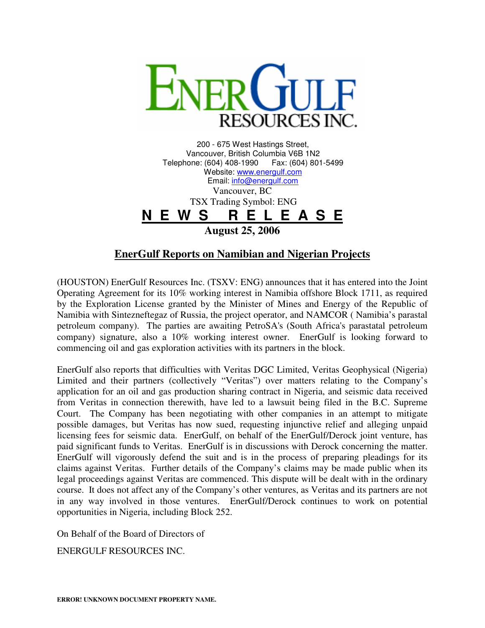

200 - 675 West Hastings Street, Vancouver, British Columbia V6B 1N2 Telephone: (604) 408-1990 Website: www.energulf.com Email: info@energulf.com Vancouver, BC TSX Trading Symbol: ENG **N E W S R E L E A S E August 25, 2006** 

## **EnerGulf Reports on Namibian and Nigerian Projects**

(HOUSTON) EnerGulf Resources Inc. (TSXV: ENG) announces that it has entered into the Joint Operating Agreement for its 10% working interest in Namibia offshore Block 1711, as required by the Exploration License granted by the Minister of Mines and Energy of the Republic of Namibia with Sintezneftegaz of Russia, the project operator, and NAMCOR ( Namibia's parastal petroleum company). The parties are awaiting PetroSA's (South Africa's parastatal petroleum company) signature, also a 10% working interest owner. EnerGulf is looking forward to commencing oil and gas exploration activities with its partners in the block.

EnerGulf also reports that difficulties with Veritas DGC Limited, Veritas Geophysical (Nigeria) Limited and their partners (collectively "Veritas") over matters relating to the Company's application for an oil and gas production sharing contract in Nigeria, and seismic data received from Veritas in connection therewith, have led to a lawsuit being filed in the B.C. Supreme Court. The Company has been negotiating with other companies in an attempt to mitigate possible damages, but Veritas has now sued, requesting injunctive relief and alleging unpaid licensing fees for seismic data. EnerGulf, on behalf of the EnerGulf/Derock joint venture, has paid significant funds to Veritas. EnerGulf is in discussions with Derock concerning the matter. EnerGulf will vigorously defend the suit and is in the process of preparing pleadings for its claims against Veritas. Further details of the Company's claims may be made public when its legal proceedings against Veritas are commenced. This dispute will be dealt with in the ordinary course. It does not affect any of the Company's other ventures, as Veritas and its partners are not in any way involved in those ventures. EnerGulf/Derock continues to work on potential opportunities in Nigeria, including Block 252.

On Behalf of the Board of Directors of

ENERGULF RESOURCES INC.